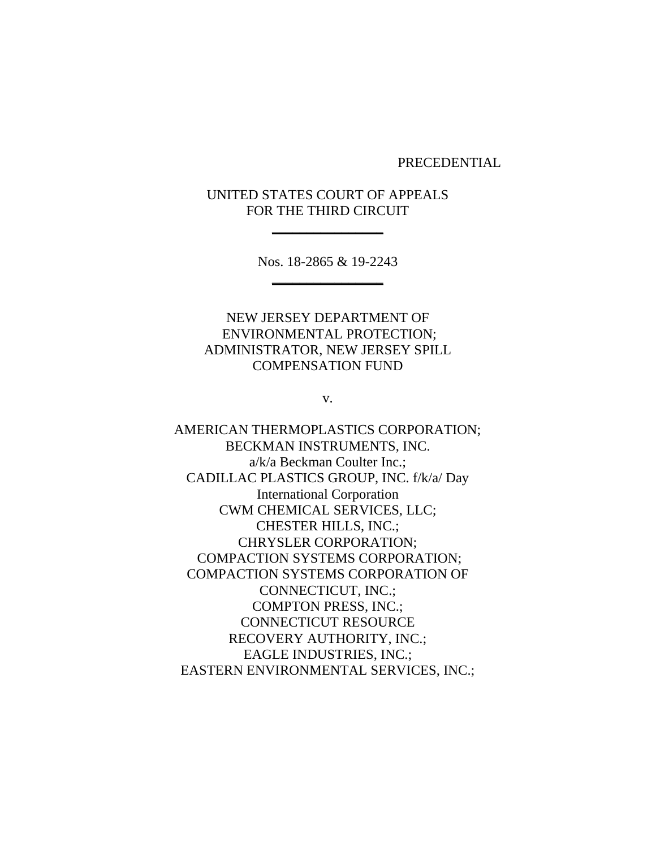PRECEDENTIAL

UNITED STATES COURT OF APPEALS FOR THE THIRD CIRCUIT

**\_\_\_\_\_\_\_\_\_\_\_\_\_\_\_\_**

Nos. 18-2865 & 19-2243 **\_\_\_\_\_\_\_\_\_\_\_\_\_\_\_\_**

NEW JERSEY DEPARTMENT OF ENVIRONMENTAL PROTECTION; ADMINISTRATOR, NEW JERSEY SPILL COMPENSATION FUND

v.

AMERICAN THERMOPLASTICS CORPORATION; BECKMAN INSTRUMENTS, INC. a/k/a Beckman Coulter Inc.; CADILLAC PLASTICS GROUP, INC. f/k/a/ Day International Corporation CWM CHEMICAL SERVICES, LLC; CHESTER HILLS, INC.; CHRYSLER CORPORATION; COMPACTION SYSTEMS CORPORATION; COMPACTION SYSTEMS CORPORATION OF CONNECTICUT, INC.; COMPTON PRESS, INC.; CONNECTICUT RESOURCE RECOVERY AUTHORITY, INC.; EAGLE INDUSTRIES, INC.; EASTERN ENVIRONMENTAL SERVICES, INC.;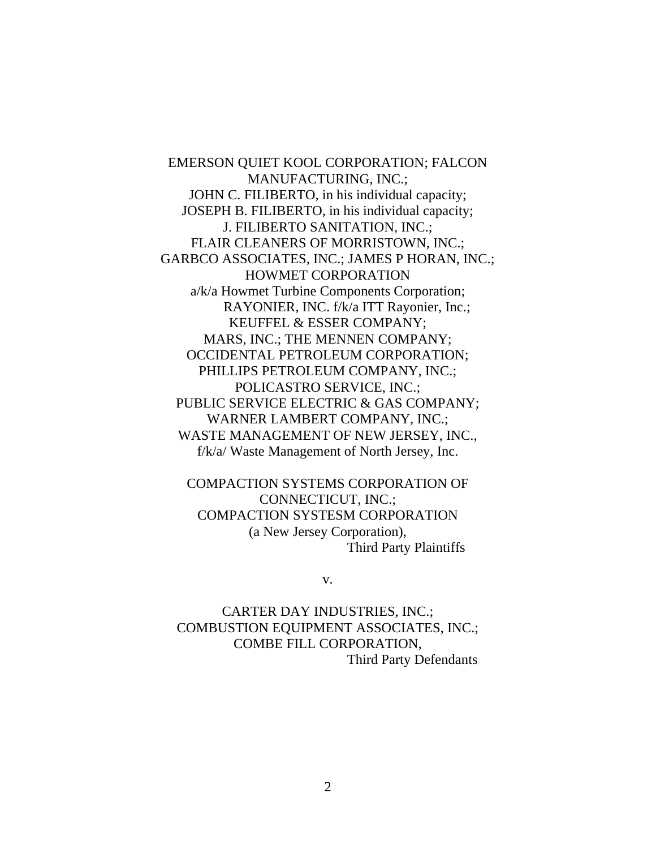EMERSON QUIET KOOL CORPORATION; FALCON MANUFACTURING, INC.; JOHN C. FILIBERTO, in his individual capacity; JOSEPH B. FILIBERTO, in his individual capacity; J. FILIBERTO SANITATION, INC.; FLAIR CLEANERS OF MORRISTOWN, INC.; GARBCO ASSOCIATES, INC.; JAMES P HORAN, INC.; HOWMET CORPORATION a/k/a Howmet Turbine Components Corporation; RAYONIER, INC. f/k/a ITT Rayonier, Inc.; KEUFFEL & ESSER COMPANY; MARS, INC.; THE MENNEN COMPANY; OCCIDENTAL PETROLEUM CORPORATION; PHILLIPS PETROLEUM COMPANY, INC.; POLICASTRO SERVICE, INC.; PUBLIC SERVICE ELECTRIC & GAS COMPANY; WARNER LAMBERT COMPANY, INC.; WASTE MANAGEMENT OF NEW JERSEY, INC., f/k/a/ Waste Management of North Jersey, Inc.

COMPACTION SYSTEMS CORPORATION OF CONNECTICUT, INC.; COMPACTION SYSTESM CORPORATION (a New Jersey Corporation), Third Party Plaintiffs

v.

CARTER DAY INDUSTRIES, INC.; COMBUSTION EQUIPMENT ASSOCIATES, INC.; COMBE FILL CORPORATION, Third Party Defendants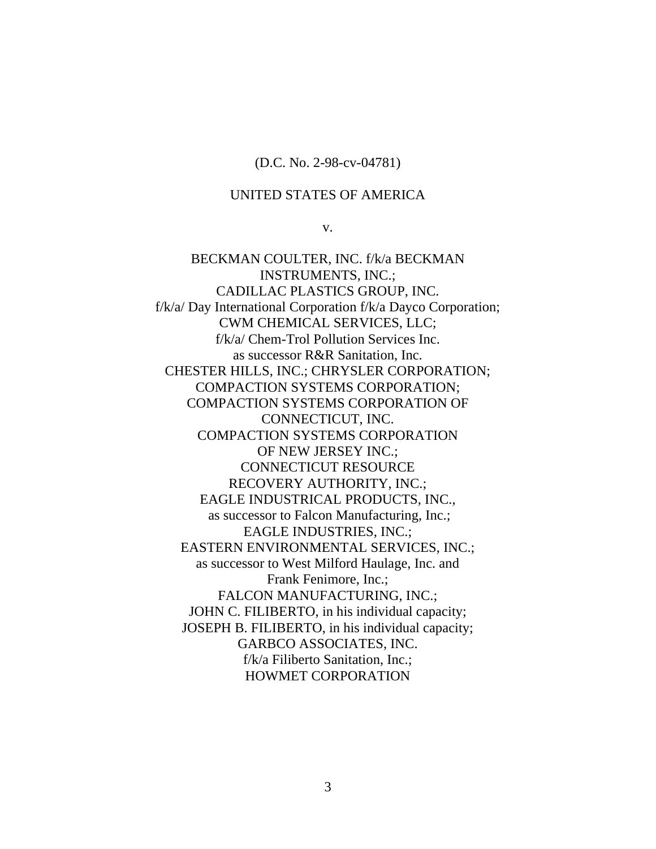#### (D.C. No. 2-98-cv-04781)

#### UNITED STATES OF AMERICA

v.

BECKMAN COULTER, INC. f/k/a BECKMAN INSTRUMENTS, INC.; CADILLAC PLASTICS GROUP, INC. f/k/a/ Day International Corporation f/k/a Dayco Corporation; CWM CHEMICAL SERVICES, LLC; f/k/a/ Chem-Trol Pollution Services Inc. as successor R&R Sanitation, Inc. CHESTER HILLS, INC.; CHRYSLER CORPORATION; COMPACTION SYSTEMS CORPORATION; COMPACTION SYSTEMS CORPORATION OF CONNECTICUT, INC. COMPACTION SYSTEMS CORPORATION OF NEW JERSEY INC.; CONNECTICUT RESOURCE RECOVERY AUTHORITY, INC.; EAGLE INDUSTRICAL PRODUCTS, INC., as successor to Falcon Manufacturing, Inc.; EAGLE INDUSTRIES, INC.; EASTERN ENVIRONMENTAL SERVICES, INC.; as successor to West Milford Haulage, Inc. and Frank Fenimore, Inc.; FALCON MANUFACTURING, INC.; JOHN C. FILIBERTO, in his individual capacity; JOSEPH B. FILIBERTO, in his individual capacity; GARBCO ASSOCIATES, INC. f/k/a Filiberto Sanitation, Inc.; HOWMET CORPORATION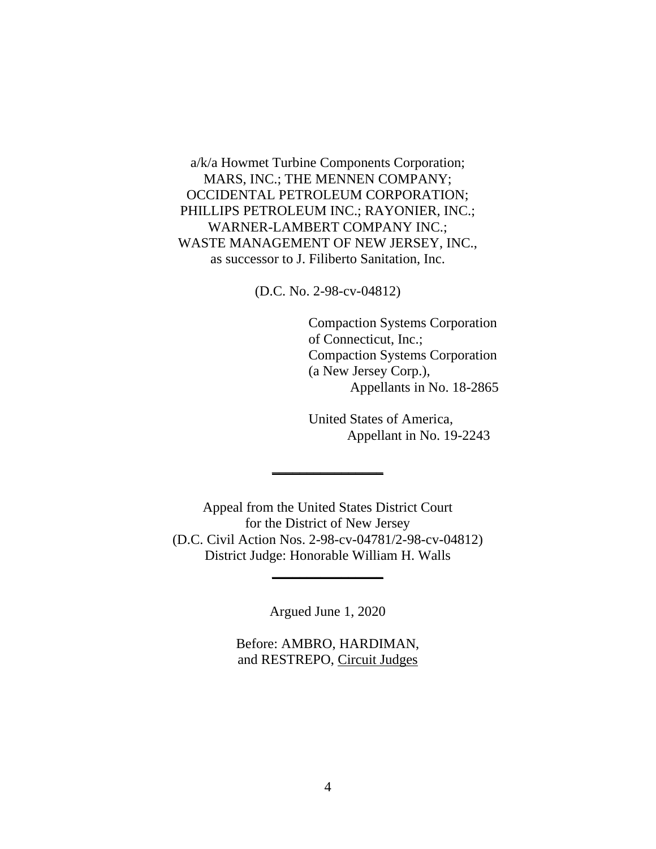a/k/a Howmet Turbine Components Corporation; MARS, INC.; THE MENNEN COMPANY; OCCIDENTAL PETROLEUM CORPORATION; PHILLIPS PETROLEUM INC.; RAYONIER, INC.; WARNER-LAMBERT COMPANY INC.; WASTE MANAGEMENT OF NEW JERSEY, INC., as successor to J. Filiberto Sanitation, Inc.

(D.C. No. 2-98-cv-04812)

Compaction Systems Corporation of Connecticut, Inc.; Compaction Systems Corporation (a New Jersey Corp.), Appellants in No. 18-2865

United States of America, Appellant in No. 19-2243

Appeal from the United States District Court for the District of New Jersey (D.C. Civil Action Nos. 2-98-cv-04781/2-98-cv-04812) District Judge: Honorable William H. Walls

**\_\_\_\_\_\_\_\_\_\_\_\_\_\_\_\_**

Argued June 1, 2020

**\_\_\_\_\_\_\_\_\_\_\_\_\_\_\_\_**

Before: AMBRO, HARDIMAN, and RESTREPO, Circuit Judges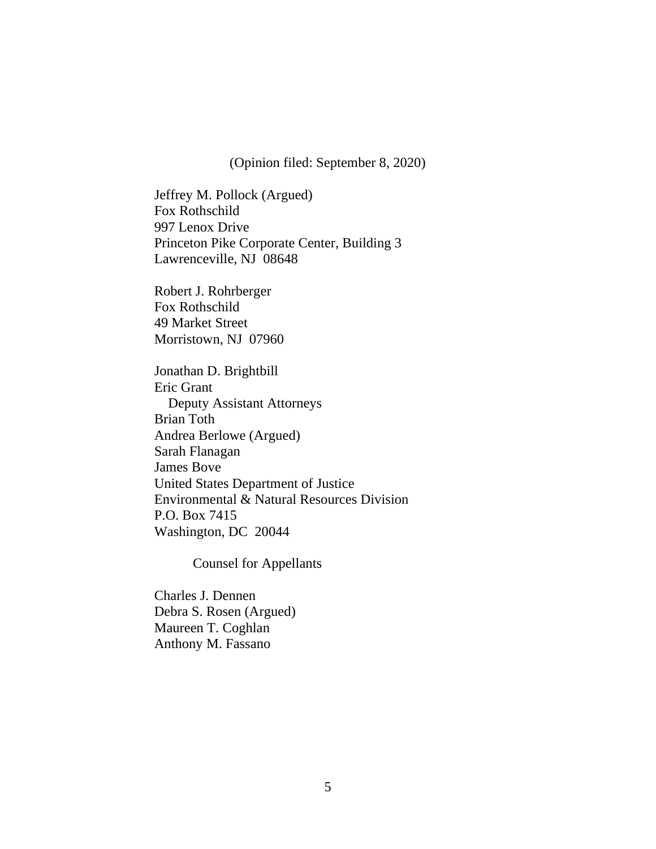(Opinion filed: September 8, 2020)

Jeffrey M. Pollock (Argued) Fox Rothschild 997 Lenox Drive Princeton Pike Corporate Center, Building 3 Lawrenceville, NJ 08648

Robert J. Rohrberger Fox Rothschild 49 Market Street Morristown, NJ 07960

Jonathan D. Brightbill Eric Grant Deputy Assistant Attorneys Brian Toth Andrea Berlowe (Argued) Sarah Flanagan James Bove United States Department of Justice Environmental & Natural Resources Division P.O. Box 7415 Washington, DC 20044

Counsel for Appellants

Charles J. Dennen Debra S. Rosen (Argued) Maureen T. Coghlan Anthony M. Fassano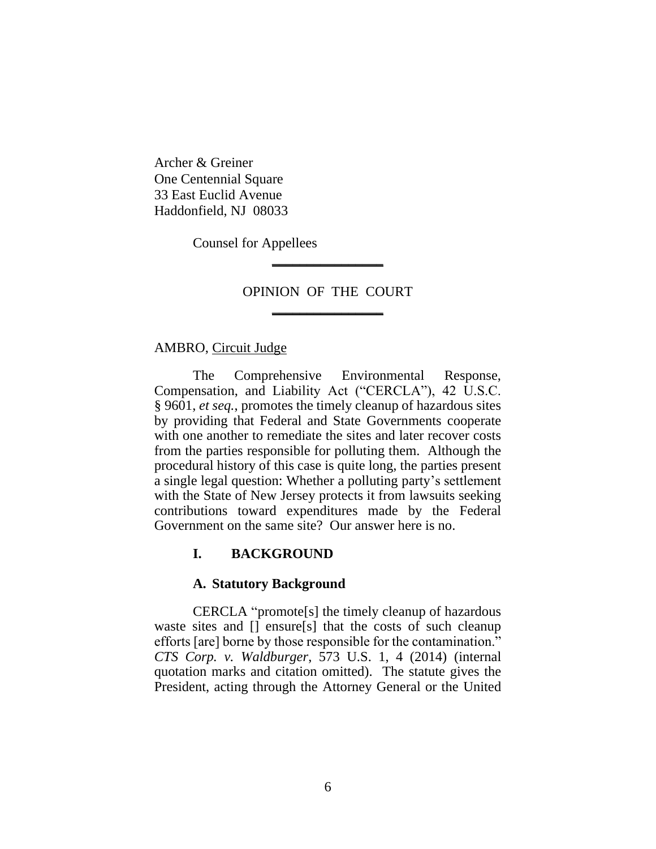Archer & Greiner One Centennial Square 33 East Euclid Avenue Haddonfield, NJ 08033

Counsel for Appellees

# OPINION OF THE COURT **\_\_\_\_\_\_\_\_\_\_\_\_\_\_\_\_**

**\_\_\_\_\_\_\_\_\_\_\_\_\_\_\_\_**

#### AMBRO, Circuit Judge

The Comprehensive Environmental Response, Compensation, and Liability Act ("CERCLA"), 42 U.S.C. § 9601, *et seq.*, promotes the timely cleanup of hazardous sites by providing that Federal and State Governments cooperate with one another to remediate the sites and later recover costs from the parties responsible for polluting them. Although the procedural history of this case is quite long, the parties present a single legal question: Whether a polluting party's settlement with the State of New Jersey protects it from lawsuits seeking contributions toward expenditures made by the Federal Government on the same site? Our answer here is no.

# **I. BACKGROUND**

# **A. Statutory Background**

CERCLA "promote[s] the timely cleanup of hazardous waste sites and [] ensure[s] that the costs of such cleanup efforts [are] borne by those responsible for the contamination." *CTS Corp. v. Waldburger*, 573 U.S. 1, 4 (2014) (internal quotation marks and citation omitted). The statute gives the President, acting through the Attorney General or the United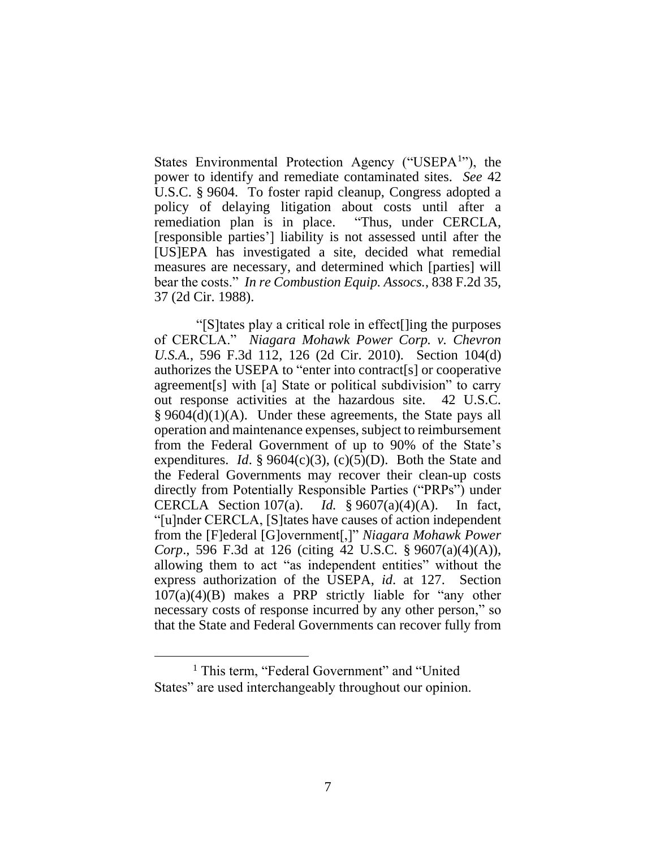States Environmental Protection Agency ("USEPA<sup>1</sup>"), the power to identify and remediate contaminated sites. *See* 42 U.S.C. § 9604. To foster rapid cleanup, Congress adopted a policy of delaying litigation about costs until after a remediation plan is in place. "Thus, under CERCLA, [responsible parties'] liability is not assessed until after the [US]EPA has investigated a site, decided what remedial measures are necessary, and determined which [parties] will bear the costs." *In re Combustion Equip. Assocs.*, 838 F.2d 35, 37 (2d Cir. 1988).

"[S]tates play a critical role in effect[]ing the purposes of CERCLA." *Niagara Mohawk Power Corp. v. Chevron U.S.A.*, 596 F.3d 112, 126 (2d Cir. 2010). Section 104(d) authorizes the USEPA to "enter into contract[s] or cooperative agreement[s] with [a] State or political subdivision" to carry out response activities at the hazardous site. 42 U.S.C.  $§ 9604(d)(1)(A)$ . Under these agreements, the State pays all operation and maintenance expenses, subject to reimbursement from the Federal Government of up to 90% of the State's expenditures. *Id*. § 9604(c)(3), (c)(5)(D). Both the State and the Federal Governments may recover their clean-up costs directly from Potentially Responsible Parties ("PRPs") under CERCLA Section 107(a). *Id.* § 9607(a)(4)(A). In fact, "[u]nder CERCLA, [S]tates have causes of action independent from the [F]ederal [G]overnment[,]" *Niagara Mohawk Power Corp*., 596 F.3d at 126 (citing 42 U.S.C. § 9607(a)(4)(A)), allowing them to act "as independent entities" without the express authorization of the USEPA, *id*. at 127. Section 107(a)(4)(B) makes a PRP strictly liable for "any other necessary costs of response incurred by any other person," so that the State and Federal Governments can recover fully from

<sup>&</sup>lt;sup>1</sup> This term, "Federal Government" and "United States" are used interchangeably throughout our opinion.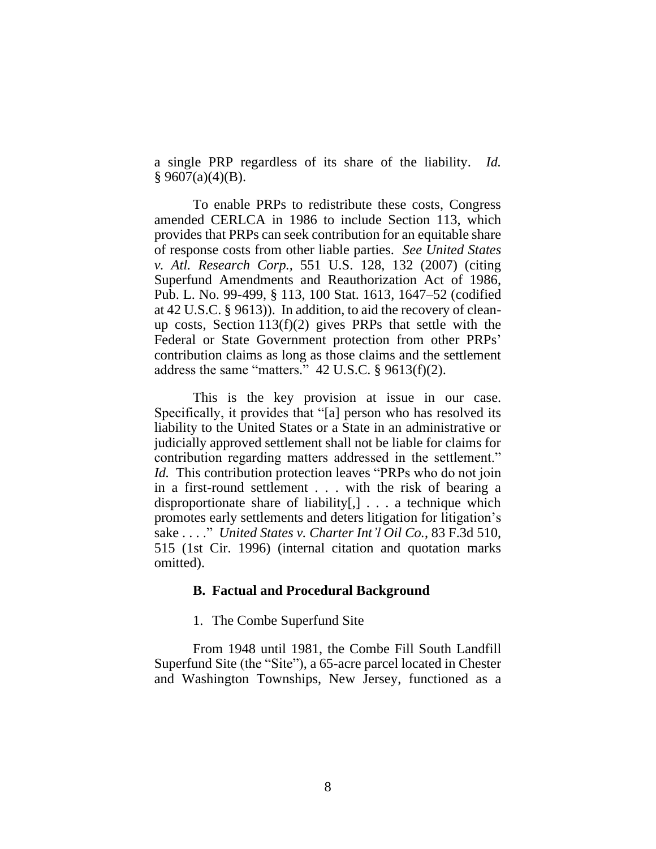a single PRP regardless of its share of the liability. *Id.*   $§$  9607(a)(4)(B).

To enable PRPs to redistribute these costs, Congress amended CERLCA in 1986 to include Section 113, which provides that PRPs can seek contribution for an equitable share of response costs from other liable parties. *See United States v. Atl. Research Corp.,* 551 U.S. 128, 132 (2007) (citing Superfund Amendments and Reauthorization Act of 1986, Pub. L. No. 99-499, § 113, 100 Stat. 1613, 1647–52 (codified at 42 U.S.C. § 9613)). In addition, to aid the recovery of cleanup costs, Section 113(f)(2) gives PRPs that settle with the Federal or State Government protection from other PRPs' contribution claims as long as those claims and the settlement address the same "matters." 42 U.S.C. § 9613(f)(2).

This is the key provision at issue in our case. Specifically, it provides that "[a] person who has resolved its liability to the United States or a State in an administrative or judicially approved settlement shall not be liable for claims for contribution regarding matters addressed in the settlement." *Id.* This contribution protection leaves "PRPs who do not join in a first-round settlement . . . with the risk of bearing a disproportionate share of liability[,] . . . a technique which promotes early settlements and deters litigation for litigation's sake . . . ." *United States v. Charter Int'l Oil Co.*, 83 F.3d 510, 515 (1st Cir. 1996) (internal citation and quotation marks omitted).

#### **B. Factual and Procedural Background**

# 1. The Combe Superfund Site

From 1948 until 1981, the Combe Fill South Landfill Superfund Site (the "Site"), a 65-acre parcel located in Chester and Washington Townships, New Jersey, functioned as a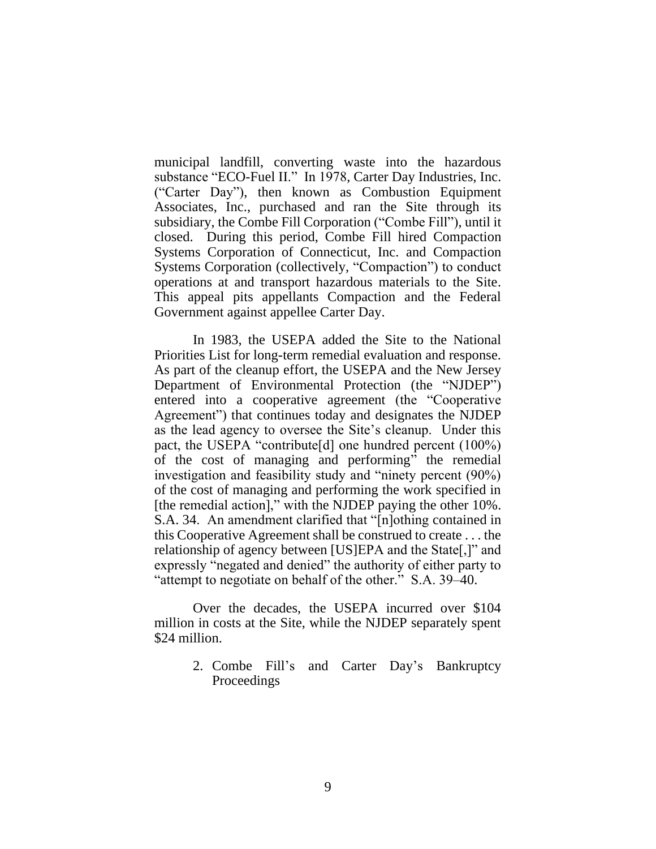municipal landfill, converting waste into the hazardous substance "ECO-Fuel II." In 1978, Carter Day Industries, Inc. ("Carter Day"), then known as Combustion Equipment Associates, Inc., purchased and ran the Site through its subsidiary, the Combe Fill Corporation ("Combe Fill"), until it closed. During this period, Combe Fill hired Compaction Systems Corporation of Connecticut, Inc. and Compaction Systems Corporation (collectively, "Compaction") to conduct operations at and transport hazardous materials to the Site. This appeal pits appellants Compaction and the Federal Government against appellee Carter Day.

In 1983, the USEPA added the Site to the National Priorities List for long-term remedial evaluation and response. As part of the cleanup effort, the USEPA and the New Jersey Department of Environmental Protection (the "NJDEP") entered into a cooperative agreement (the "Cooperative Agreement") that continues today and designates the NJDEP as the lead agency to oversee the Site's cleanup. Under this pact, the USEPA "contribute[d] one hundred percent (100%) of the cost of managing and performing" the remedial investigation and feasibility study and "ninety percent (90%) of the cost of managing and performing the work specified in [the remedial action]," with the NJDEP paying the other 10%. S.A. 34. An amendment clarified that "[n]othing contained in this Cooperative Agreement shall be construed to create . . . the relationship of agency between [US]EPA and the State[,]" and expressly "negated and denied" the authority of either party to "attempt to negotiate on behalf of the other." S.A. 39–40.

Over the decades, the USEPA incurred over \$104 million in costs at the Site, while the NJDEP separately spent \$24 million.

> 2. Combe Fill's and Carter Day's Bankruptcy Proceedings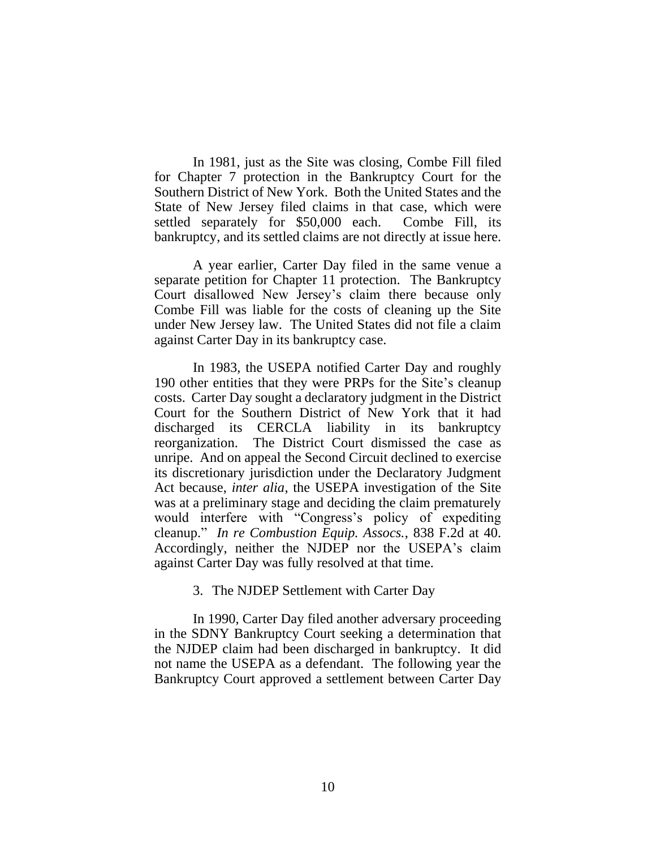In 1981, just as the Site was closing, Combe Fill filed for Chapter 7 protection in the Bankruptcy Court for the Southern District of New York. Both the United States and the State of New Jersey filed claims in that case, which were settled separately for \$50,000 each. Combe Fill, its bankruptcy, and its settled claims are not directly at issue here.

A year earlier, Carter Day filed in the same venue a separate petition for Chapter 11 protection. The Bankruptcy Court disallowed New Jersey's claim there because only Combe Fill was liable for the costs of cleaning up the Site under New Jersey law. The United States did not file a claim against Carter Day in its bankruptcy case.

In 1983, the USEPA notified Carter Day and roughly 190 other entities that they were PRPs for the Site's cleanup costs. Carter Day sought a declaratory judgment in the District Court for the Southern District of New York that it had discharged its CERCLA liability in its bankruptcy reorganization. The District Court dismissed the case as unripe. And on appeal the Second Circuit declined to exercise its discretionary jurisdiction under the Declaratory Judgment Act because, *inter alia*, the USEPA investigation of the Site was at a preliminary stage and deciding the claim prematurely would interfere with "Congress's policy of expediting cleanup." *In re Combustion Equip. Assocs.*, 838 F.2d at 40. Accordingly, neither the NJDEP nor the USEPA's claim against Carter Day was fully resolved at that time.

3. The NJDEP Settlement with Carter Day

In 1990, Carter Day filed another adversary proceeding in the SDNY Bankruptcy Court seeking a determination that the NJDEP claim had been discharged in bankruptcy. It did not name the USEPA as a defendant. The following year the Bankruptcy Court approved a settlement between Carter Day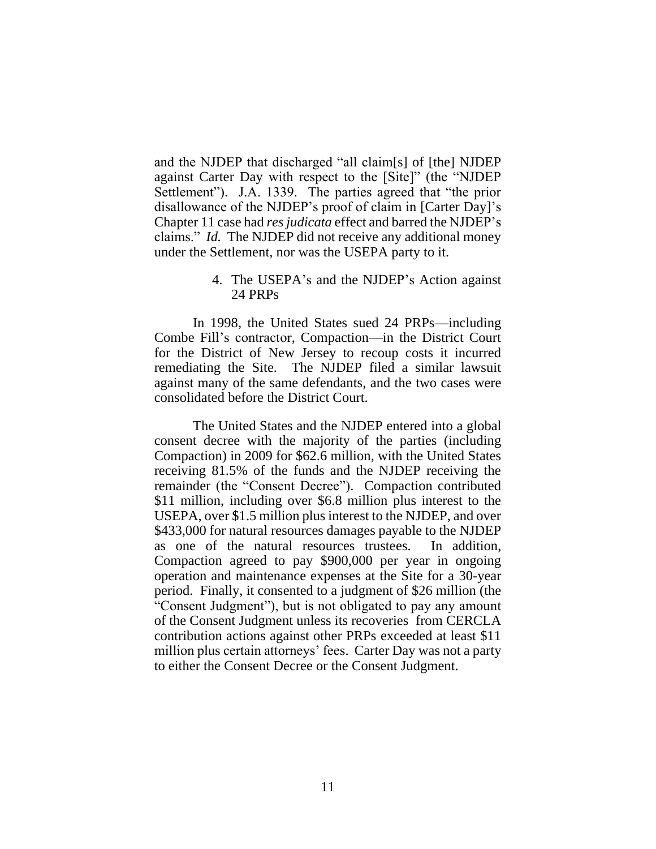and the NJDEP that discharged "all claim[s] of [the] NJDEP against Carter Day with respect to the [Site]" (the "NJDEP Settlement"). J.A. 1339. The parties agreed that "the prior disallowance of the NJDEP's proof of claim in [Carter Day]'s Chapter 11 case had *res judicata* effect and barred the NJDEP's claims." *Id.* The NJDEP did not receive any additional money under the Settlement, nor was the USEPA party to it.

#### 4. The USEPA's and the NJDEP's Action against 24 PRPs

In 1998, the United States sued 24 PRPs—including Combe Fill's contractor, Compaction—in the District Court for the District of New Jersey to recoup costs it incurred remediating the Site. The NJDEP filed a similar lawsuit against many of the same defendants, and the two cases were consolidated before the District Court.

The United States and the NJDEP entered into a global consent decree with the majority of the parties (including Compaction) in 2009 for \$62.6 million, with the United States receiving 81.5% of the funds and the NJDEP receiving the remainder (the "Consent Decree"). Compaction contributed \$11 million, including over \$6.8 million plus interest to the USEPA, over \$1.5 million plus interest to the NJDEP, and over \$433,000 for natural resources damages payable to the NJDEP as one of the natural resources trustees. In addition, Compaction agreed to pay \$900,000 per year in ongoing operation and maintenance expenses at the Site for a 30-year period. Finally, it consented to a judgment of \$26 million (the "Consent Judgment"), but is not obligated to pay any amount of the Consent Judgment unless its recoveries from CERCLA contribution actions against other PRPs exceeded at least \$11 million plus certain attorneys' fees. Carter Day was not a party to either the Consent Decree or the Consent Judgment.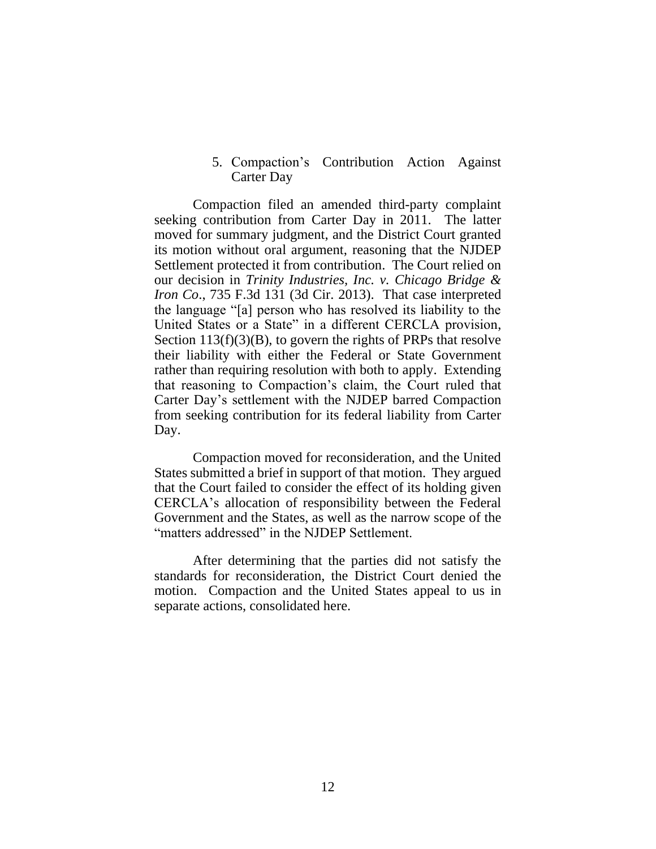#### 5. Compaction's Contribution Action Against Carter Day

Compaction filed an amended third-party complaint seeking contribution from Carter Day in 2011. The latter moved for summary judgment, and the District Court granted its motion without oral argument, reasoning that the NJDEP Settlement protected it from contribution. The Court relied on our decision in *Trinity Industries, Inc. v. Chicago Bridge & Iron Co*., 735 F.3d 131 (3d Cir. 2013). That case interpreted the language "[a] person who has resolved its liability to the United States or a State" in a different CERCLA provision, Section 113(f)(3)(B), to govern the rights of PRPs that resolve their liability with either the Federal or State Government rather than requiring resolution with both to apply. Extending that reasoning to Compaction's claim, the Court ruled that Carter Day's settlement with the NJDEP barred Compaction from seeking contribution for its federal liability from Carter Day.

Compaction moved for reconsideration, and the United States submitted a brief in support of that motion. They argued that the Court failed to consider the effect of its holding given CERCLA's allocation of responsibility between the Federal Government and the States, as well as the narrow scope of the "matters addressed" in the NJDEP Settlement.

After determining that the parties did not satisfy the standards for reconsideration, the District Court denied the motion. Compaction and the United States appeal to us in separate actions, consolidated here.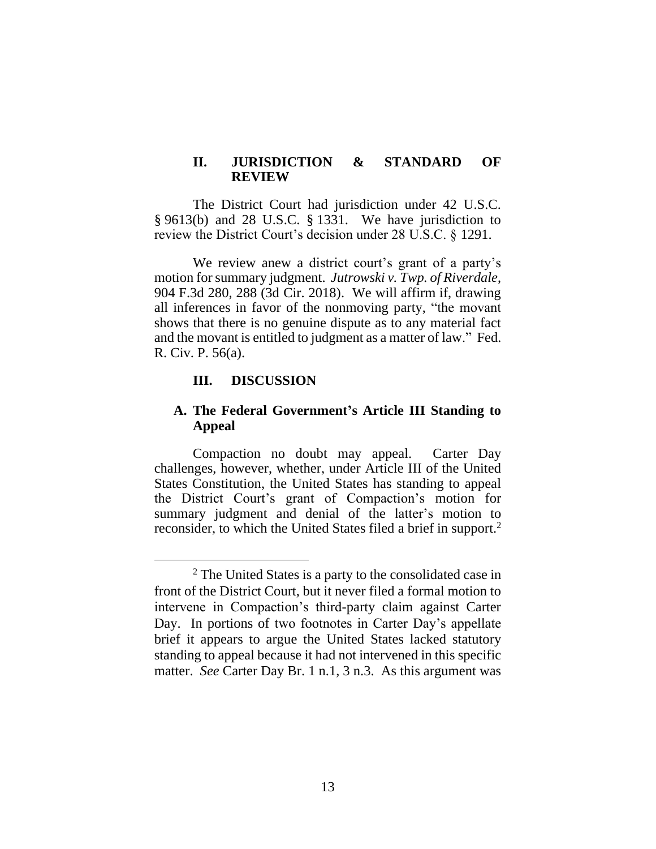# **II. JURISDICTION & STANDARD OF REVIEW**

The District Court had jurisdiction under 42 U.S.C. § 9613(b) and 28 U.S.C. § 1331. We have jurisdiction to review the District Court's decision under 28 U.S.C. § 1291.

We review anew a district court's grant of a party's motion for summary judgment. *Jutrowski v. Twp. of Riverdale*, 904 F.3d 280, 288 (3d Cir. 2018). We will affirm if, drawing all inferences in favor of the nonmoving party, "the movant shows that there is no genuine dispute as to any material fact and the movant is entitled to judgment as a matter of law." Fed. R. Civ. P. 56(a).

# **III. DISCUSSION**

# **A. The Federal Government's Article III Standing to Appeal**

Compaction no doubt may appeal. Carter Day challenges, however, whether, under Article III of the United States Constitution, the United States has standing to appeal the District Court's grant of Compaction's motion for summary judgment and denial of the latter's motion to reconsider, to which the United States filed a brief in support. 2

<sup>2</sup> The United States is a party to the consolidated case in front of the District Court, but it never filed a formal motion to intervene in Compaction's third-party claim against Carter Day. In portions of two footnotes in Carter Day's appellate brief it appears to argue the United States lacked statutory standing to appeal because it had not intervened in this specific matter. *See* Carter Day Br. 1 n.1, 3 n.3. As this argument was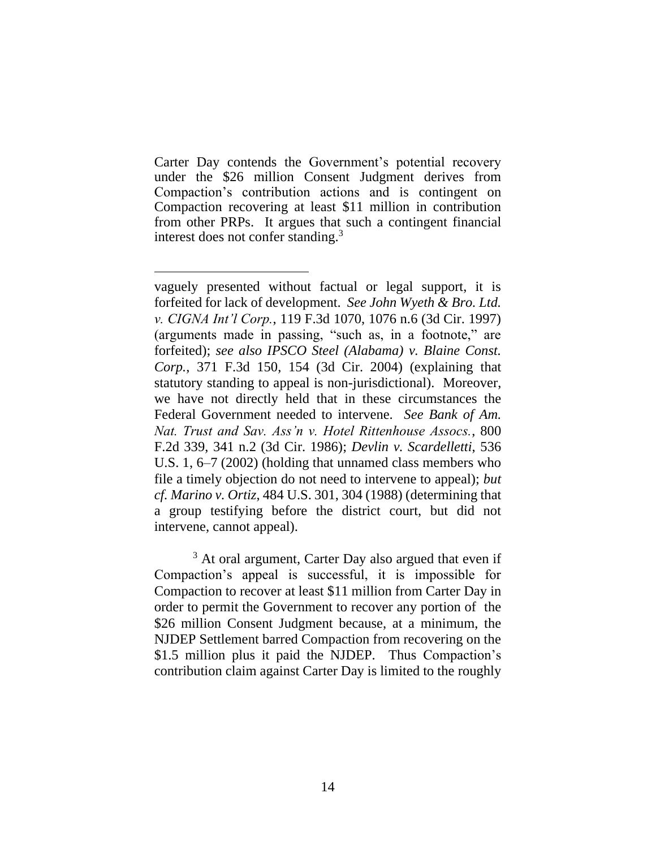Carter Day contends the Government's potential recovery under the \$26 million Consent Judgment derives from Compaction's contribution actions and is contingent on Compaction recovering at least \$11 million in contribution from other PRPs. It argues that such a contingent financial interest does not confer standing. 3

<sup>3</sup> At oral argument, Carter Day also argued that even if Compaction's appeal is successful, it is impossible for Compaction to recover at least \$11 million from Carter Day in order to permit the Government to recover any portion of the \$26 million Consent Judgment because, at a minimum, the NJDEP Settlement barred Compaction from recovering on the \$1.5 million plus it paid the NJDEP. Thus Compaction's contribution claim against Carter Day is limited to the roughly

vaguely presented without factual or legal support, it is forfeited for lack of development. *See John Wyeth & Bro. Ltd. v. CIGNA Int'l Corp.*, 119 F.3d 1070, 1076 n.6 (3d Cir. 1997) (arguments made in passing, "such as, in a footnote," are forfeited); *see also IPSCO Steel (Alabama) v. Blaine Const. Corp.*, 371 F.3d 150, 154 (3d Cir. 2004) (explaining that statutory standing to appeal is non-jurisdictional). Moreover, we have not directly held that in these circumstances the Federal Government needed to intervene. *See Bank of Am. Nat. Trust and Sav. Ass'n v. Hotel Rittenhouse Assocs.*, 800 F.2d 339, 341 n.2 (3d Cir. 1986); *Devlin v. Scardelletti*, 536 U.S. 1, 6–7 (2002) (holding that unnamed class members who file a timely objection do not need to intervene to appeal); *but cf. Marino v. Ortiz*, 484 U.S. 301, 304 (1988) (determining that a group testifying before the district court, but did not intervene, cannot appeal).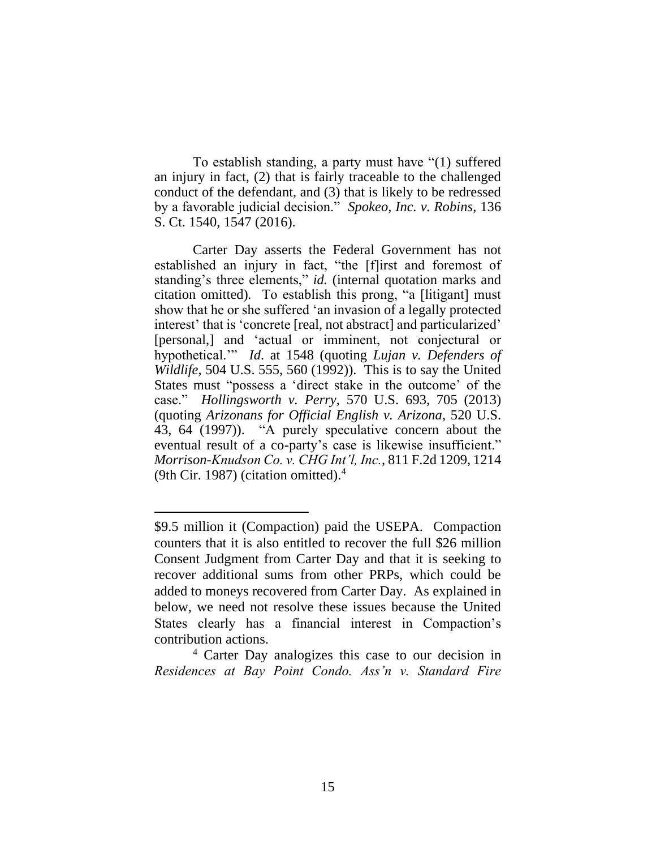To establish standing, a party must have "(1) suffered an injury in fact, (2) that is fairly traceable to the challenged conduct of the defendant, and (3) that is likely to be redressed by a favorable judicial decision." *Spokeo, Inc. v. Robins*, 136 S. Ct. 1540, 1547 (2016).

Carter Day asserts the Federal Government has not established an injury in fact, "the [f]irst and foremost of standing's three elements," *id.* (internal quotation marks and citation omitted)*.* To establish this prong, "a [litigant] must show that he or she suffered 'an invasion of a legally protected interest' that is 'concrete [real, not abstract] and particularized' [personal,] and 'actual or imminent, not conjectural or hypothetical.'" *Id*. at 1548 (quoting *Lujan v. Defenders of Wildlife*, 504 U.S. 555, 560 (1992)). This is to say the United States must "possess a 'direct stake in the outcome' of the case." *Hollingsworth v. Perry*, 570 U.S. 693, 705 (2013) (quoting *Arizonans for Official English v. Arizona*, 520 U.S. 43, 64 (1997)). "A purely speculative concern about the eventual result of a co-party's case is likewise insufficient." *Morrison-Knudson Co. v. CHG Int'l, Inc.*, 811 F.2d 1209, 1214 (9th Cir. 1987) (citation omitted). 4

<sup>\$9.5</sup> million it (Compaction) paid the USEPA. Compaction counters that it is also entitled to recover the full \$26 million Consent Judgment from Carter Day and that it is seeking to recover additional sums from other PRPs, which could be added to moneys recovered from Carter Day. As explained in below, we need not resolve these issues because the United States clearly has a financial interest in Compaction's contribution actions.

<sup>4</sup> Carter Day analogizes this case to our decision in *Residences at Bay Point Condo. Ass'n v. Standard Fire*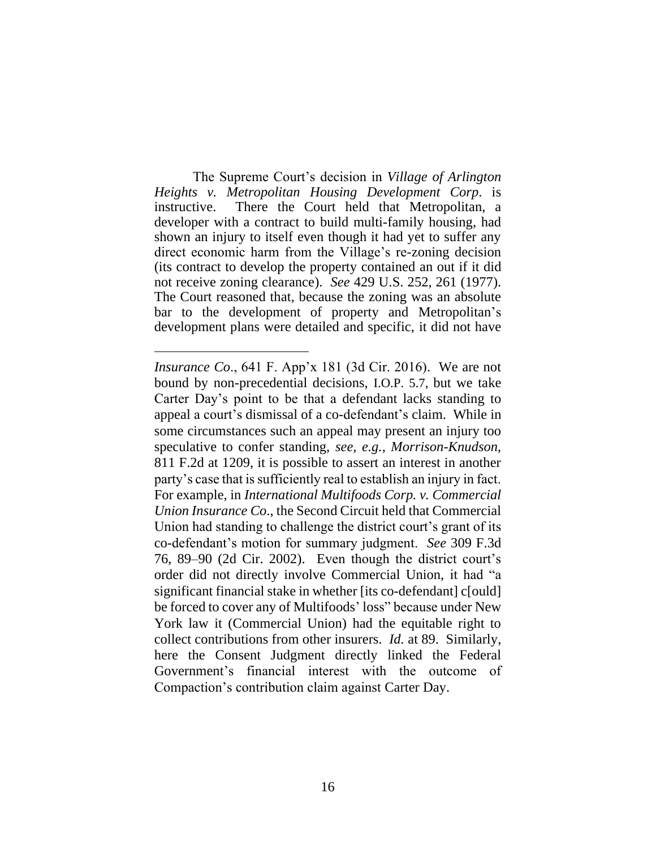The Supreme Court's decision in *Village of Arlington Heights v. Metropolitan Housing Development Corp*. is instructive. There the Court held that Metropolitan, a developer with a contract to build multi-family housing, had shown an injury to itself even though it had yet to suffer any direct economic harm from the Village's re-zoning decision (its contract to develop the property contained an out if it did not receive zoning clearance). *See* 429 U.S. 252, 261 (1977). The Court reasoned that, because the zoning was an absolute bar to the development of property and Metropolitan's development plans were detailed and specific, it did not have

*Insurance Co*., 641 F. App'x 181 (3d Cir. 2016). We are not bound by non-precedential decisions, I.O.P. 5.7, but we take Carter Day's point to be that a defendant lacks standing to appeal a court's dismissal of a co-defendant's claim. While in some circumstances such an appeal may present an injury too speculative to confer standing, *see, e.g.*, *Morrison-Knudson*, 811 F.2d at 1209, it is possible to assert an interest in another party's case that is sufficiently real to establish an injury in fact. For example, in *International Multifoods Corp. v. Commercial Union Insurance Co*., the Second Circuit held that Commercial Union had standing to challenge the district court's grant of its co-defendant's motion for summary judgment. *See* 309 F.3d 76, 89–90 (2d Cir. 2002). Even though the district court's order did not directly involve Commercial Union, it had "a significant financial stake in whether [its co-defendant] c[ould] be forced to cover any of Multifoods' loss" because under New York law it (Commercial Union) had the equitable right to collect contributions from other insurers. *Id.* at 89. Similarly, here the Consent Judgment directly linked the Federal Government's financial interest with the outcome of Compaction's contribution claim against Carter Day.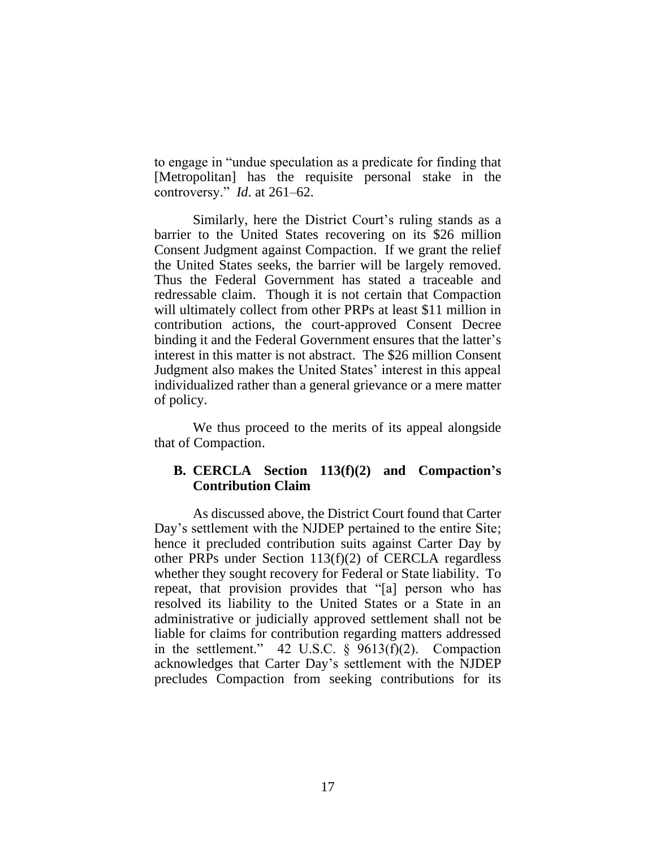to engage in "undue speculation as a predicate for finding that [Metropolitan] has the requisite personal stake in the controversy." *Id*. at 261–62.

Similarly, here the District Court's ruling stands as a barrier to the United States recovering on its \$26 million Consent Judgment against Compaction. If we grant the relief the United States seeks, the barrier will be largely removed. Thus the Federal Government has stated a traceable and redressable claim. Though it is not certain that Compaction will ultimately collect from other PRPs at least \$11 million in contribution actions, the court-approved Consent Decree binding it and the Federal Government ensures that the latter's interest in this matter is not abstract. The \$26 million Consent Judgment also makes the United States' interest in this appeal individualized rather than a general grievance or a mere matter of policy.

We thus proceed to the merits of its appeal alongside that of Compaction.

# **B. CERCLA Section 113(f)(2) and Compaction's Contribution Claim**

As discussed above, the District Court found that Carter Day's settlement with the NJDEP pertained to the entire Site; hence it precluded contribution suits against Carter Day by other PRPs under Section 113(f)(2) of CERCLA regardless whether they sought recovery for Federal or State liability. To repeat, that provision provides that "[a] person who has resolved its liability to the United States or a State in an administrative or judicially approved settlement shall not be liable for claims for contribution regarding matters addressed in the settlement." 42 U.S.C. § 9613(f)(2). Compaction acknowledges that Carter Day's settlement with the NJDEP precludes Compaction from seeking contributions for its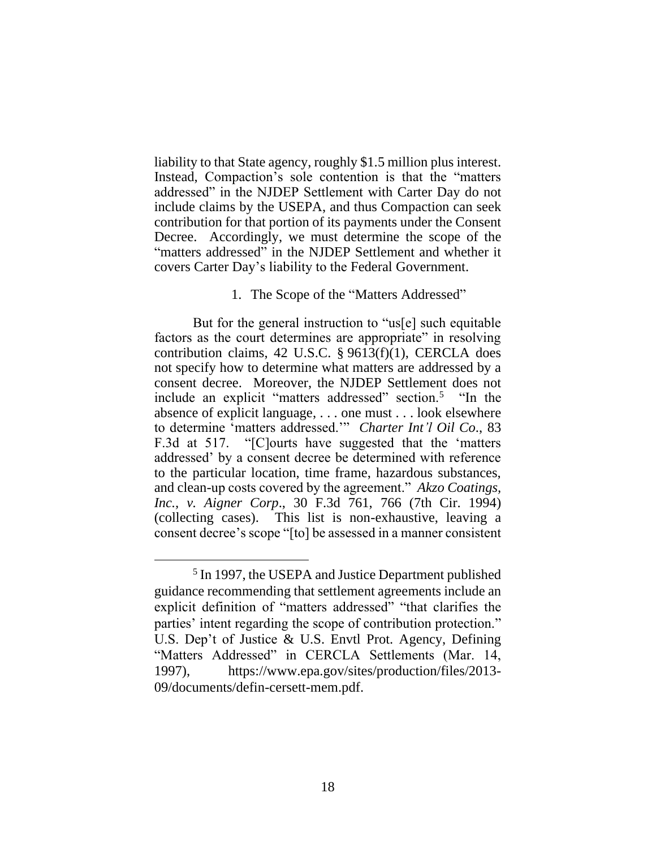liability to that State agency, roughly \$1.5 million plus interest. Instead, Compaction's sole contention is that the "matters addressed" in the NJDEP Settlement with Carter Day do not include claims by the USEPA, and thus Compaction can seek contribution for that portion of its payments under the Consent Decree. Accordingly, we must determine the scope of the "matters addressed" in the NJDEP Settlement and whether it covers Carter Day's liability to the Federal Government.

# 1. The Scope of the "Matters Addressed"

But for the general instruction to "us[e] such equitable factors as the court determines are appropriate" in resolving contribution claims, 42 U.S.C. § 9613(f)(1), CERCLA does not specify how to determine what matters are addressed by a consent decree. Moreover, the NJDEP Settlement does not include an explicit "matters addressed" section.<sup>5</sup> "In the absence of explicit language, . . . one must . . . look elsewhere to determine 'matters addressed.'" *Charter Int'l Oil Co*., 83 F.3d at 517. "[C]ourts have suggested that the 'matters addressed' by a consent decree be determined with reference to the particular location, time frame, hazardous substances, and clean-up costs covered by the agreement." *Akzo Coatings, Inc., v. Aigner Corp*., 30 F.3d 761, 766 (7th Cir. 1994) (collecting cases). This list is non-exhaustive, leaving a consent decree's scope "[to] be assessed in a manner consistent

<sup>&</sup>lt;sup>5</sup> In 1997, the USEPA and Justice Department published guidance recommending that settlement agreements include an explicit definition of "matters addressed" "that clarifies the parties' intent regarding the scope of contribution protection." U.S. Dep't of Justice & U.S. Envtl Prot. Agency, Defining "Matters Addressed" in CERCLA Settlements (Mar. 14, 1997), [https://www.epa.gov/sites/production/files/2013-](https://www.epa.gov/sites/production/files/2013-09/documents/defin-cersett-mem.pdf) [09/documents/defin-cersett-mem.pdf.](https://www.epa.gov/sites/production/files/2013-09/documents/defin-cersett-mem.pdf)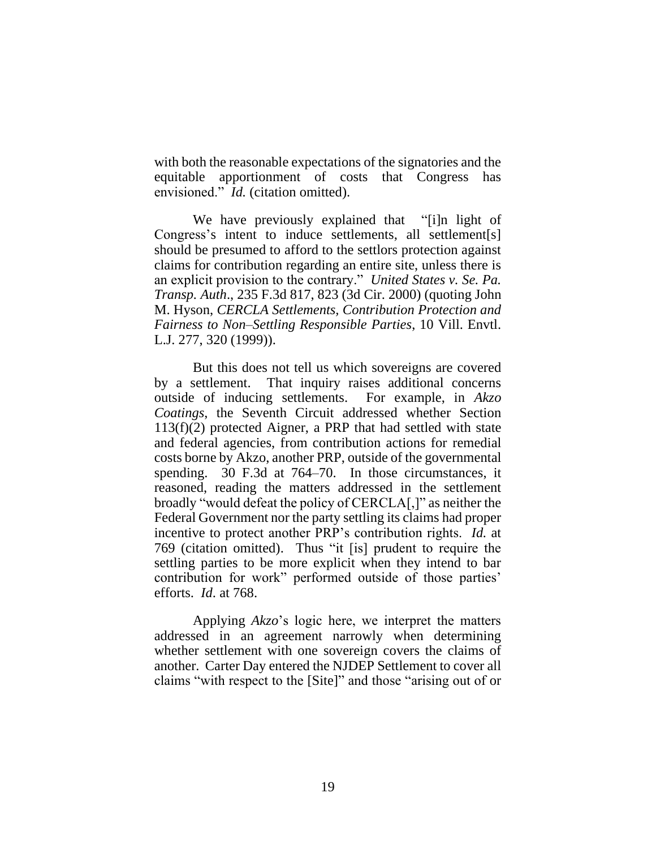with both the reasonable expectations of the signatories and the equitable apportionment of costs that Congress has envisioned." *Id.* (citation omitted).

We have previously explained that "[i]n light of Congress's intent to induce settlements, all settlement[s] should be presumed to afford to the settlors protection against claims for contribution regarding an entire site, unless there is an explicit provision to the contrary." *United States v. Se. Pa. Transp. Auth*., 235 F.3d 817, 823 (3d Cir. 2000) (quoting John M. Hyson, *CERCLA Settlements, Contribution Protection and Fairness to Non–Settling Responsible Parties*, 10 Vill. Envtl. L.J. 277, 320 (1999)).

But this does not tell us which sovereigns are covered by a settlement. That inquiry raises additional concerns outside of inducing settlements. For example, in *Akzo Coatings*, the Seventh Circuit addressed whether Section 113(f)(2) protected Aigner, a PRP that had settled with state and federal agencies, from contribution actions for remedial costs borne by Akzo, another PRP, outside of the governmental spending. 30 F.3d at 764–70. In those circumstances, it reasoned, reading the matters addressed in the settlement broadly "would defeat the policy of CERCLA[,]" as neither the Federal Government nor the party settling its claims had proper incentive to protect another PRP's contribution rights. *Id.* at 769 (citation omitted). Thus "it [is] prudent to require the settling parties to be more explicit when they intend to bar contribution for work" performed outside of those parties' efforts. *Id*. at 768.

Applying *Akzo*'s logic here, we interpret the matters addressed in an agreement narrowly when determining whether settlement with one sovereign covers the claims of another. Carter Day entered the NJDEP Settlement to cover all claims "with respect to the [Site]" and those "arising out of or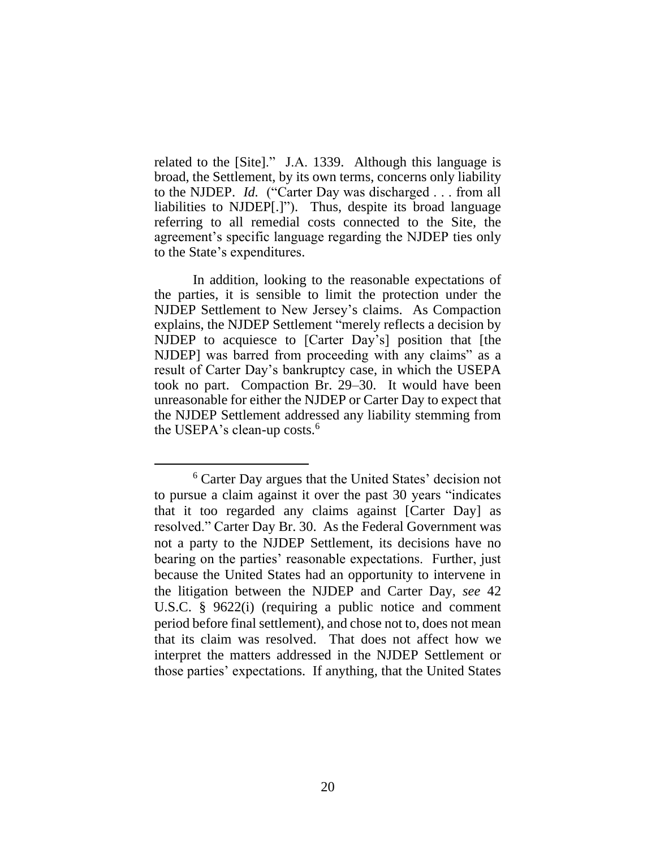related to the [Site]." J.A. 1339. Although this language is broad, the Settlement, by its own terms, concerns only liability to the NJDEP. *Id.* ("Carter Day was discharged . . . from all liabilities to NJDEP[.]"). Thus, despite its broad language referring to all remedial costs connected to the Site, the agreement's specific language regarding the NJDEP ties only to the State's expenditures.

In addition, looking to the reasonable expectations of the parties, it is sensible to limit the protection under the NJDEP Settlement to New Jersey's claims. As Compaction explains, the NJDEP Settlement "merely reflects a decision by NJDEP to acquiesce to [Carter Day's] position that [the NJDEP] was barred from proceeding with any claims" as a result of Carter Day's bankruptcy case, in which the USEPA took no part. Compaction Br. 29–30. It would have been unreasonable for either the NJDEP or Carter Day to expect that the NJDEP Settlement addressed any liability stemming from the USEPA's clean-up costs.<sup>6</sup>

<sup>6</sup> Carter Day argues that the United States' decision not to pursue a claim against it over the past 30 years "indicates that it too regarded any claims against [Carter Day] as resolved." Carter Day Br. 30. As the Federal Government was not a party to the NJDEP Settlement, its decisions have no bearing on the parties' reasonable expectations. Further, just because the United States had an opportunity to intervene in the litigation between the NJDEP and Carter Day, *see* 42 U.S.C. § 9622(i) (requiring a public notice and comment period before final settlement), and chose not to, does not mean that its claim was resolved. That does not affect how we interpret the matters addressed in the NJDEP Settlement or those parties' expectations. If anything, that the United States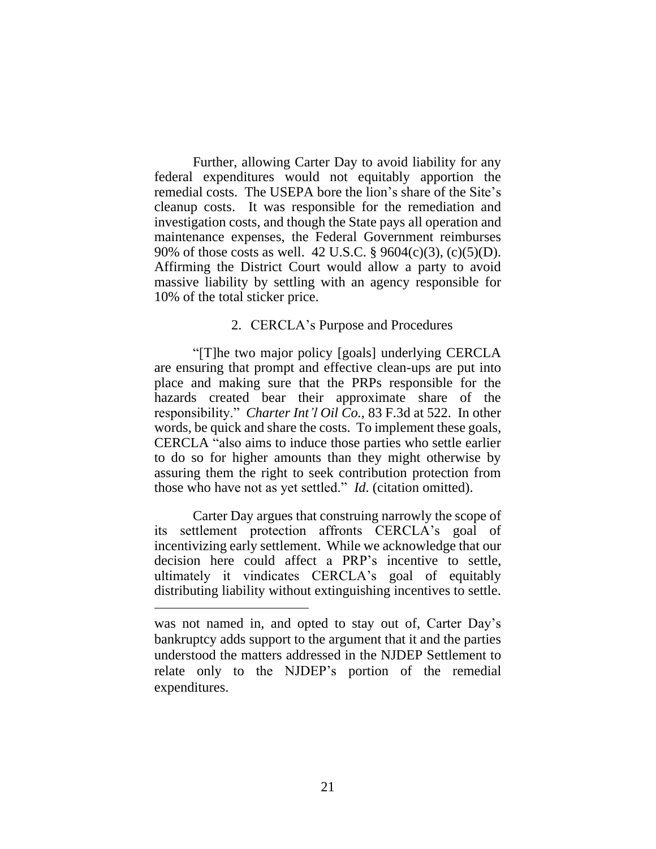Further, allowing Carter Day to avoid liability for any federal expenditures would not equitably apportion the remedial costs. The USEPA bore the lion's share of the Site's cleanup costs. It was responsible for the remediation and investigation costs, and though the State pays all operation and maintenance expenses, the Federal Government reimburses 90% of those costs as well. 42 U.S.C. § 9604(c)(3), (c)(5)(D). Affirming the District Court would allow a party to avoid massive liability by settling with an agency responsible for 10% of the total sticker price.

#### 2. CERCLA's Purpose and Procedures

"[T]he two major policy [goals] underlying CERCLA are ensuring that prompt and effective clean-ups are put into place and making sure that the PRPs responsible for the hazards created bear their approximate share of the responsibility." *Charter Int'l Oil Co.*, 83 F.3d at 522. In other words, be quick and share the costs. To implement these goals, CERCLA "also aims to induce those parties who settle earlier to do so for higher amounts than they might otherwise by assuring them the right to seek contribution protection from those who have not as yet settled." *Id*. (citation omitted).

Carter Day argues that construing narrowly the scope of its settlement protection affronts CERCLA's goal of incentivizing early settlement. While we acknowledge that our decision here could affect a PRP's incentive to settle, ultimately it vindicates CERCLA's goal of equitably distributing liability without extinguishing incentives to settle.

was not named in, and opted to stay out of, Carter Day's bankruptcy adds support to the argument that it and the parties understood the matters addressed in the NJDEP Settlement to relate only to the NJDEP's portion of the remedial expenditures.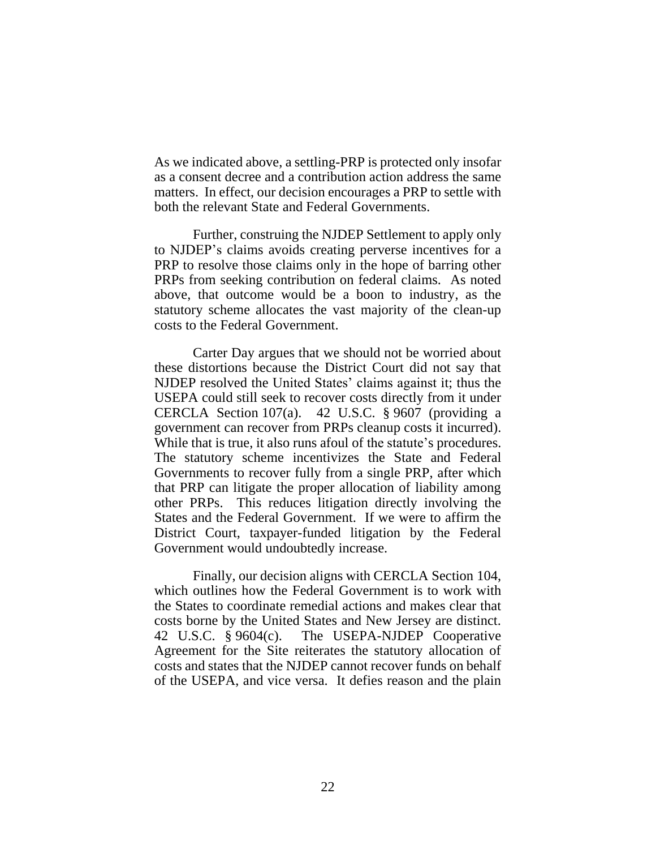As we indicated above, a settling-PRP is protected only insofar as a consent decree and a contribution action address the same matters. In effect, our decision encourages a PRP to settle with both the relevant State and Federal Governments.

Further, construing the NJDEP Settlement to apply only to NJDEP's claims avoids creating perverse incentives for a PRP to resolve those claims only in the hope of barring other PRPs from seeking contribution on federal claims. As noted above, that outcome would be a boon to industry, as the statutory scheme allocates the vast majority of the clean-up costs to the Federal Government.

Carter Day argues that we should not be worried about these distortions because the District Court did not say that NJDEP resolved the United States' claims against it; thus the USEPA could still seek to recover costs directly from it under CERCLA Section 107(a). 42 U.S.C. § 9607 (providing a government can recover from PRPs cleanup costs it incurred). While that is true, it also runs afoul of the statute's procedures. The statutory scheme incentivizes the State and Federal Governments to recover fully from a single PRP, after which that PRP can litigate the proper allocation of liability among other PRPs. This reduces litigation directly involving the States and the Federal Government. If we were to affirm the District Court, taxpayer-funded litigation by the Federal Government would undoubtedly increase.

Finally, our decision aligns with CERCLA Section 104, which outlines how the Federal Government is to work with the States to coordinate remedial actions and makes clear that costs borne by the United States and New Jersey are distinct. 42 U.S.C. § 9604(c). The USEPA-NJDEP Cooperative Agreement for the Site reiterates the statutory allocation of costs and states that the NJDEP cannot recover funds on behalf of the USEPA, and vice versa. It defies reason and the plain